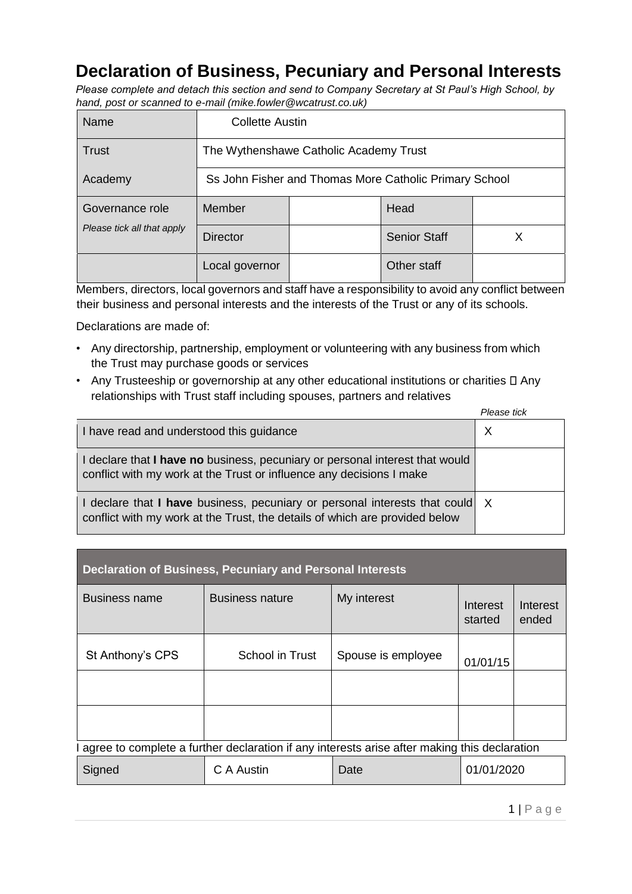## **Declaration of Business, Pecuniary and Personal Interests**

*Please complete and detach this section and send to Company Secretary at St Paul's High School, by hand, post or scanned to e-mail (mike.fowler@wcatrust.co.uk)* 

| Name                                          | <b>Collette Austin</b>                                 |  |                     |  |
|-----------------------------------------------|--------------------------------------------------------|--|---------------------|--|
| <b>Trust</b>                                  | The Wythenshawe Catholic Academy Trust                 |  |                     |  |
| Academy                                       | Ss John Fisher and Thomas More Catholic Primary School |  |                     |  |
| Governance role<br>Please tick all that apply | Member                                                 |  | Head                |  |
|                                               | <b>Director</b>                                        |  | <b>Senior Staff</b> |  |
|                                               | Local governor                                         |  | Other staff         |  |

Members, directors, local governors and staff have a responsibility to avoid any conflict between their business and personal interests and the interests of the Trust or any of its schools.

Declarations are made of:

- Any directorship, partnership, employment or volunteering with any business from which the Trust may purchase goods or services
- Any Trusteeship or governorship at any other educational institutions or charities  $\square$  Any relationships with Trust staff including spouses, partners and relatives

|                                                                                                                                                             | Please tick |
|-------------------------------------------------------------------------------------------------------------------------------------------------------------|-------------|
| I have read and understood this guidance                                                                                                                    |             |
| I declare that I have no business, pecuniary or personal interest that would<br>conflict with my work at the Trust or influence any decisions I make        |             |
| I declare that I have business, pecuniary or personal interests that could X<br>conflict with my work at the Trust, the details of which are provided below |             |

| <b>Declaration of Business, Pecuniary and Personal Interests</b>                               |                        |                    |                     |                   |  |
|------------------------------------------------------------------------------------------------|------------------------|--------------------|---------------------|-------------------|--|
| Business name                                                                                  | <b>Business nature</b> | My interest        | Interest<br>started | Interest<br>ended |  |
| St Anthony's CPS                                                                               | School in Trust        | Spouse is employee | 01/01/15            |                   |  |
|                                                                                                |                        |                    |                     |                   |  |
|                                                                                                |                        |                    |                     |                   |  |
| I agree to complete a further declaration if any interests arise after making this declaration |                        |                    |                     |                   |  |
| Signed                                                                                         | C A Austin             | Date               | 01/01/2020          |                   |  |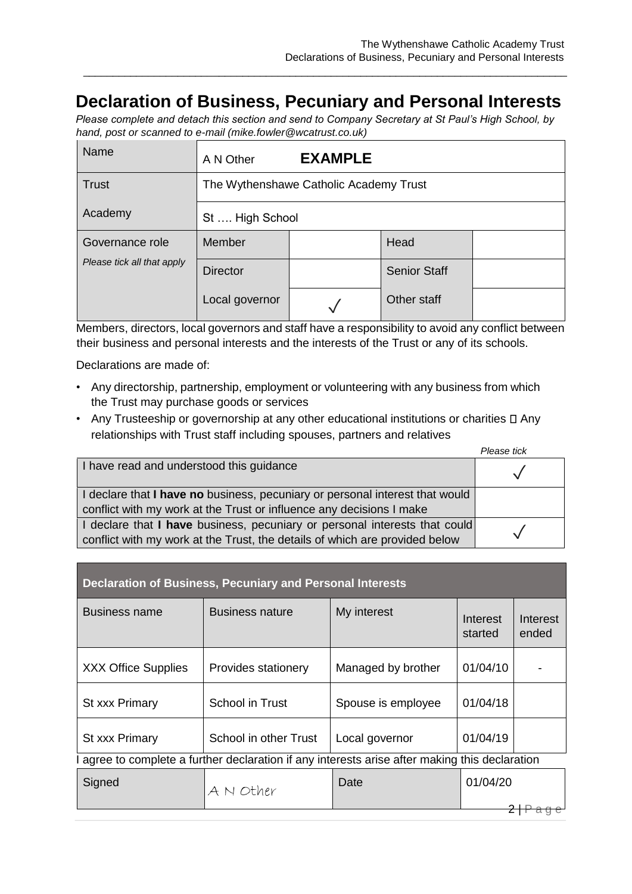## **Declaration of Business, Pecuniary and Personal Interests**

\_\_\_\_\_\_\_\_\_\_\_\_\_\_\_\_\_\_\_\_\_\_\_\_\_\_\_\_\_\_\_\_\_\_\_\_\_\_\_\_\_\_\_\_\_\_\_\_\_\_\_\_\_\_\_\_\_\_\_\_\_\_\_\_\_\_\_\_\_\_\_\_\_\_\_\_\_\_\_\_\_\_

*Please complete and detach this section and send to Company Secretary at St Paul's High School, by hand, post or scanned to e-mail (mike.fowler@wcatrust.co.uk)* 

| Name                       | A N Other                              | <b>EXAMPLE</b> |                     |  |
|----------------------------|----------------------------------------|----------------|---------------------|--|
| Trust                      | The Wythenshawe Catholic Academy Trust |                |                     |  |
| Academy                    | St  High School                        |                |                     |  |
| Governance role            | Member                                 |                | Head                |  |
| Please tick all that apply | <b>Director</b>                        |                | <b>Senior Staff</b> |  |
|                            | Local governor                         |                | Other staff         |  |

Members, directors, local governors and staff have a responsibility to avoid any conflict between their business and personal interests and the interests of the Trust or any of its schools.

Declarations are made of:

- Any directorship, partnership, employment or volunteering with any business from which the Trust may purchase goods or services
- Any Trusteeship or governorship at any other educational institutions or charities  $\Box$  Any relationships with Trust staff including spouses, partners and relatives

|                                                                                                                                                           | Please tick |
|-----------------------------------------------------------------------------------------------------------------------------------------------------------|-------------|
| I have read and understood this guidance                                                                                                                  |             |
| I declare that I have no business, pecuniary or personal interest that would<br>conflict with my work at the Trust or influence any decisions I make      |             |
| I declare that I have business, pecuniary or personal interests that could<br>conflict with my work at the Trust, the details of which are provided below |             |

| <b>Declaration of Business, Pecuniary and Personal Interests</b>                               |                        |                    |                     |                   |  |
|------------------------------------------------------------------------------------------------|------------------------|--------------------|---------------------|-------------------|--|
| Business name                                                                                  | <b>Business nature</b> | My interest        | Interest<br>started | Interest<br>ended |  |
| <b>XXX Office Supplies</b>                                                                     | Provides stationery    | Managed by brother | 01/04/10            |                   |  |
| St xxx Primary                                                                                 | School in Trust        | Spouse is employee | 01/04/18            |                   |  |
| St xxx Primary                                                                                 | School in other Trust  | Local governor     | 01/04/19            |                   |  |
| l agree to complete a further declaration if any interests arise after making this declaration |                        |                    |                     |                   |  |
| Signed                                                                                         | A N Other              | Date               | 01/04/20            |                   |  |
|                                                                                                |                        |                    |                     |                   |  |